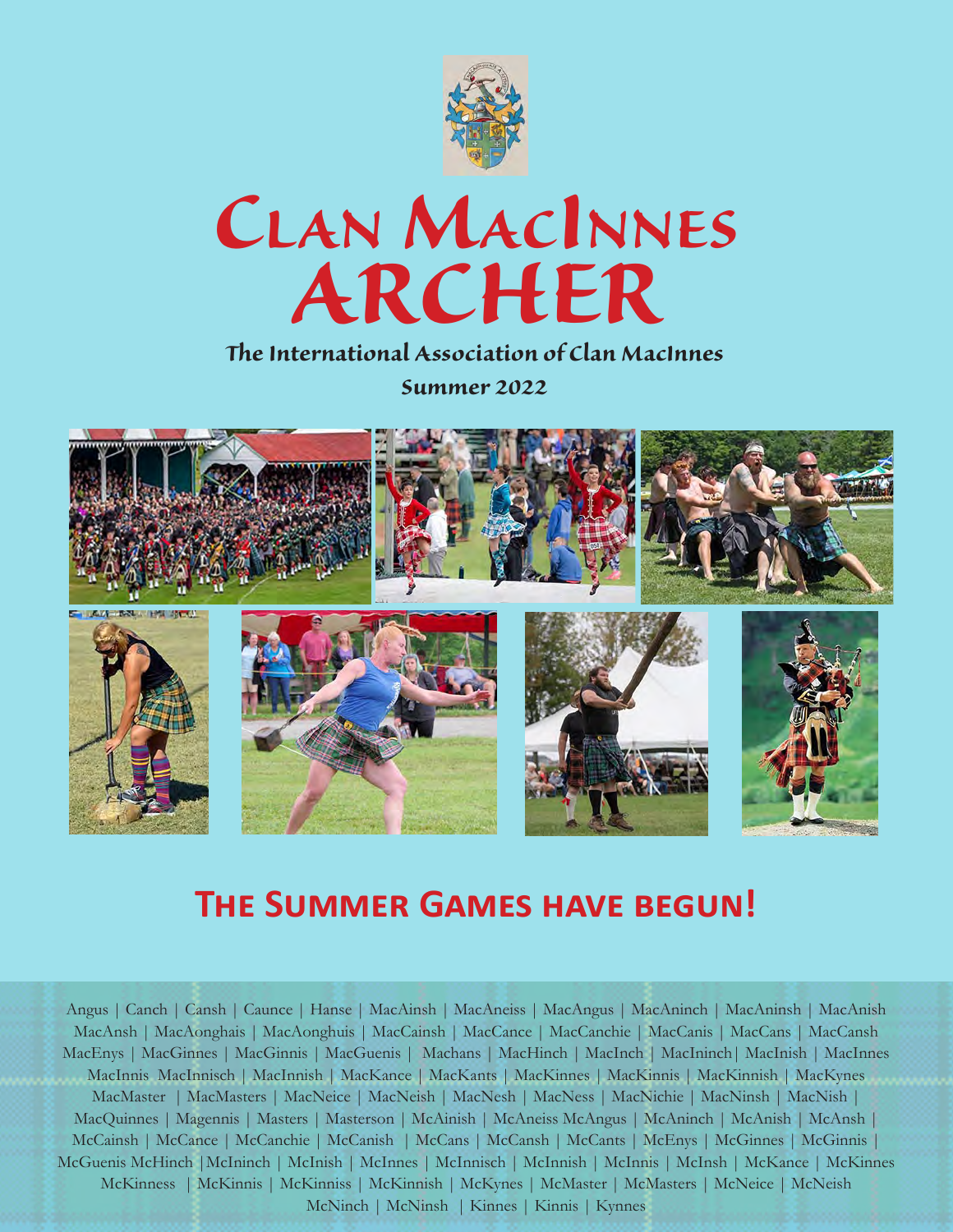

# *Clan MacInnes ARCHER*

#### *The International Association of Clan MacInnes Summer 2022*



## **The Summer Games have begun!**

Angus | Canch | Cansh | Caunce | Hanse | MacAinsh | MacAneiss | MacAngus | MacAninch | MacAninsh | MacAnish MacAnsh | MacAonghais | MacAonghuis | MacCainsh | MacCance | MacCanchie | MacCanis | MacCans | MacCansh MacEnys | MacGinnes | MacGinnis | MacGuenis | Machans | MacHinch | MacInch | MacIninch| MacInish | MacInnes MacInnis MacInnisch | MacInnish | MacKance | MacKants | MacKinnes | MacKinnis | MacKinnish | MacKynes MacMaster | MacMasters | MacNeice | MacNeish | MacNesh | MacNess | MacNichie | MacNinsh | MacNish | MacQuinnes | Magennis | Masters | Masterson | McAinish | McAneiss McAngus | McAninch | McAnish | McAnsh | McCainsh | McCance | McCanchie | McCanish | McCans | McCansh | McCants | McEnys | McGinnes | McGinnis | McGuenis McHinch |McIninch | McInish | McInnes | McInnisch | McInnish | McInnis | McInsh | McKance | McKinnes McKinness | McKinnis | McKinniss | McKinnish | McKynes | McMaster | McMasters | McNeice | McNeish McNinch | McNinsh | Kinnes | Kinnis | Kynnes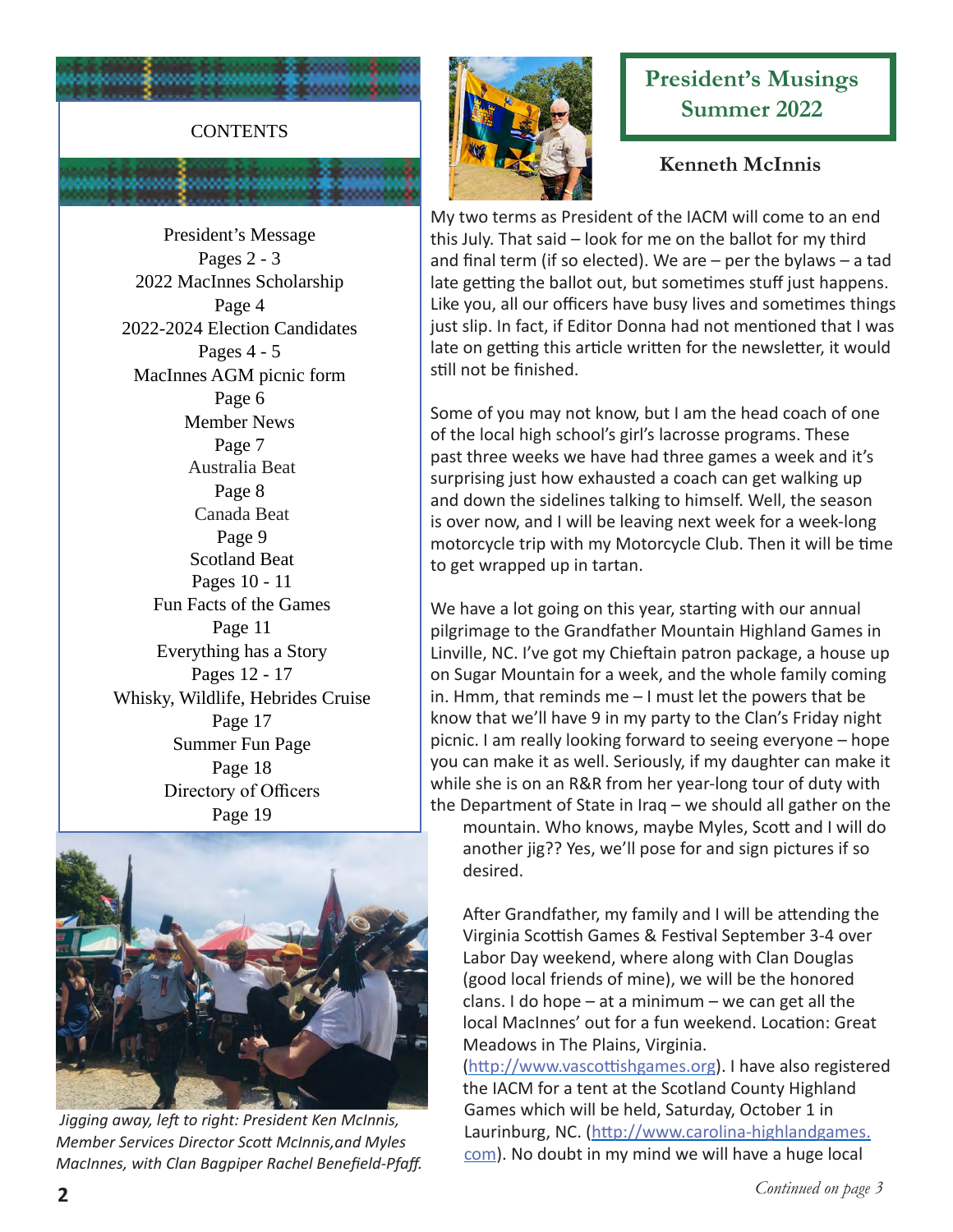

President's Message Pages 2 - 3 2022 MacInnes Scholarship Page 4 2022-2024 Election Candidates Pages 4 - 5 MacInnes AGM picnic form Page 6 Member News Page 7 Australia Beat Page 8 Canada Beat Page 9 Scotland Beat Pages 10 - 11 Fun Facts of the Games Page 11 Everything has a Story Pages 12 - 17 Whisky, Wildlife, Hebrides Cruise Page 17 Summer Fun Page Page 18 Directory of Officers Page 19



#### **President's Musings Summer 2022**

#### **Kenneth McInnis**

My two terms as President of the IACM will come to an end this July. That said – look for me on the ballot for my third and final term (if so elected). We are – per the bylaws – a tad late getting the ballot out, but sometimes stuff just happens. Like you, all our officers have busy lives and sometimes things just slip. In fact, if Editor Donna had not mentioned that I was late on getting this article written for the newsletter, it would still not be finished.

Some of you may not know, but I am the head coach of one of the local high school's girl's lacrosse programs. These past three weeks we have had three games a week and it's surprising just how exhausted a coach can get walking up and down the sidelines talking to himself. Well, the season is over now, and I will be leaving next week for a week-long motorcycle trip with my Motorcycle Club. Then it will be time to get wrapped up in tartan.

We have a lot going on this year, starting with our annual pilgrimage to the Grandfather Mountain Highland Games in Linville, NC. I've got my Chieftain patron package, a house up on Sugar Mountain for a week, and the whole family coming in. Hmm, that reminds me – I must let the powers that be know that we'll have 9 in my party to the Clan's Friday night picnic. I am really looking forward to seeing everyone – hope you can make it as well. Seriously, if my daughter can make it while she is on an R&R from her year-long tour of duty with the Department of State in Iraq – we should all gather on the mountain. Who knows, maybe Myles, Scott and I will do another jig?? Yes, we'll pose for and sign pictures if so desired.

After Grandfather, my family and I will be attending the Virginia Scottish Games & Festival September 3-4 over Labor Day weekend, where along with Clan Douglas (good local friends of mine), we will be the honored clans. I do hope  $-$  at a minimum  $-$  we can get all the local MacInnes' out for a fun weekend. Location: Great Meadows in The Plains, Virginia.

[\(http://www.vascottishgames.org](http://www.vascottishgames.org)). I have also registered the IACM for a tent at the Scotland County Highland Games which will be held, Saturday, October 1 in Laurinburg, NC. [\(http://www.carolina-highlandgames.](http://www.carolina-highlandgames.com) [com](http://www.carolina-highlandgames.com)). No doubt in my mind we will have a huge local

 *Jigging away, left to right: President Ken McInnis, Member Services Director Scott McInnis,and Myles MacInnes, with Clan Bagpiper Rachel Benefield-Pfaff.*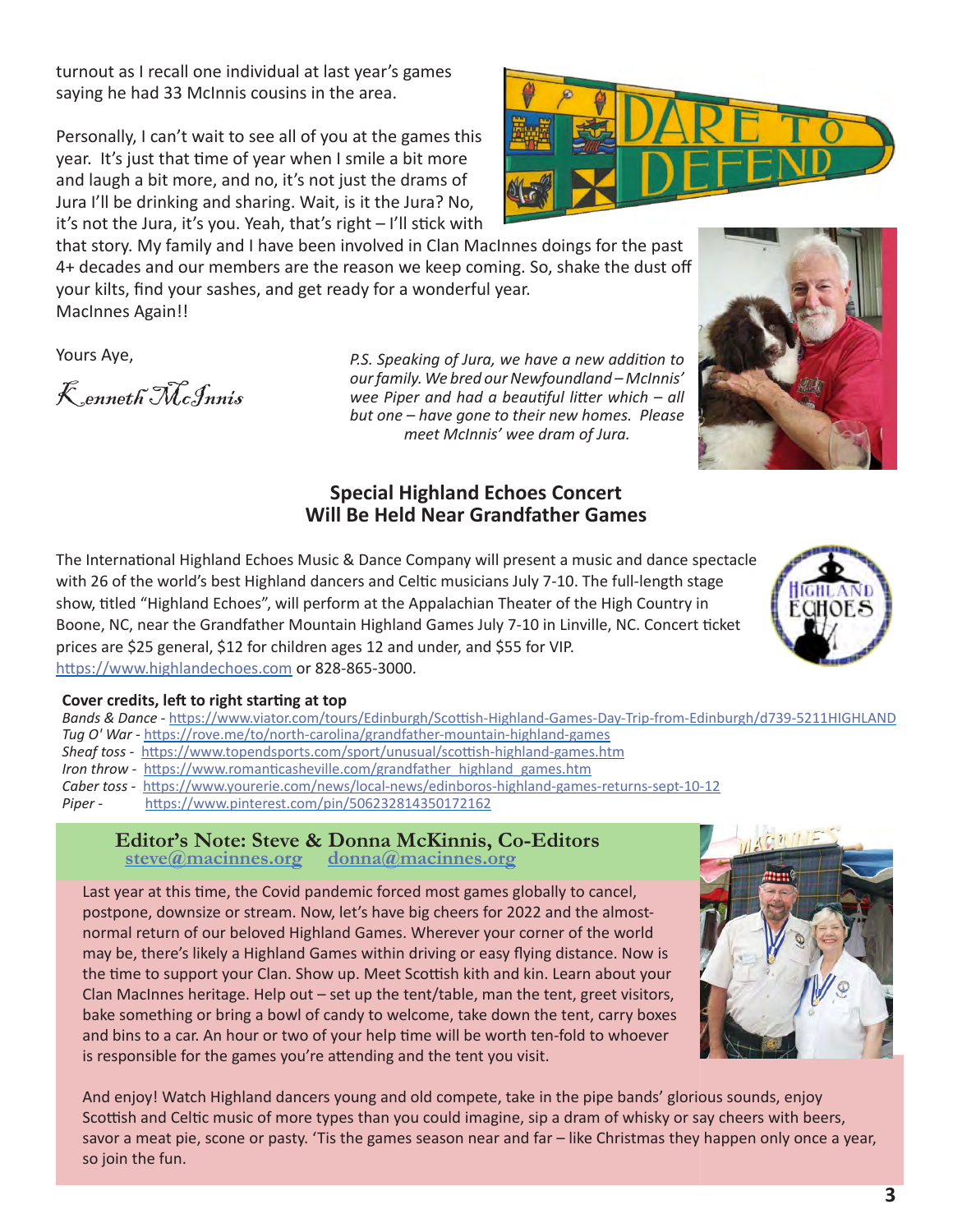turnout as I recall one individual at last year's games saying he had 33 McInnis cousins in the area.

Personally, I can't wait to see all of you at the games this year. It's just that time of year when I smile a bit more and laugh a bit more, and no, it's not just the drams of Jura I'll be drinking and sharing. Wait, is it the Jura? No, it's not the Jura, it's you. Yeah, that's right – I'll stick with

that story. My family and I have been involved in Clan MacInnes doings for the past 4+ decades and our members are the reason we keep coming. So, shake the dust off your kilts, find your sashes, and get ready for a wonderful year. MacInnes Again!!

Yours Aye,

Kenneth McInnis

*P.S. Speaking of Jura, we have a new addition to our family. We bred our Newfoundland – McInnis' wee Piper and had a beautiful litter which – all but one – have gone to their new homes. Please meet McInnis' wee dram of Jura.* 

#### **Special Highland Echoes Concert Will Be Held Near Grandfather Games**

The International Highland Echoes Music & Dance Company will present a music and dance spectacle with 26 of the world's best Highland dancers and Celtic musicians July 7-10. The full-length stage show, titled "Highland Echoes", will perform at the Appalachian Theater of the High Country in Boone, NC, near the Grandfather Mountain Highland Games July 7-10 in Linville, NC. Concert ticket prices are \$25 general, \$12 for children ages 12 and under, and \$55 for VIP. <https://www.highlandechoes.com>or 828-865-3000.

#### **Cover credits, left to right starting at top**

*Bands & Dance -* <https://www.viator.com/tours/Edinburgh/Scottish-Highland-Games-Day-Trip-from-Edinburgh/d739-5211HIGHLAND> *Tug O' War -* <https://rove.me/to/north-carolina/grandfather-mountain-highland-games> *Sheaf toss -* <https://www.topendsports.com/sport/unusual/scottish-highland-games.htm> *Iron throw - [https://www.romanticasheville.com/grandfather\\_highland\\_games.htm](https://www.romanticasheville.com/grandfather_highland_games.htm) Caber toss -* <https://www.yourerie.com/news/local-news/edinboros-highland-games-returns-sept-10-12> *Piper -* <https://www.pinterest.com/pin/506232814350172162>

Editor's Note: Steve & Donna McKinnis, Co-Editors<br>steve@macinnes.org donna@macinnes.org  **[steve@macinnes.org](mailto:steve%40macinnes.org?subject=) [donna@macinnes.org](mailto:donna%40macinnes.org?subject=)**

Last year at this time, the Covid pandemic forced most games globally to cancel, postpone, downsize or stream. Now, let's have big cheers for 2022 and the almostnormal return of our beloved Highland Games. Wherever your corner of the world may be, there's likely a Highland Games within driving or easy flying distance. Now is the time to support your Clan. Show up. Meet Scottish kith and kin. Learn about your Clan MacInnes heritage. Help out – set up the tent/table, man the tent, greet visitors, bake something or bring a bowl of candy to welcome, take down the tent, carry boxes and bins to a car. An hour or two of your help time will be worth ten-fold to whoever is responsible for the games you're attending and the tent you visit.

And enjoy! Watch Highland dancers young and old compete, take in the pipe bands' glorious sounds, enjoy Scottish and Celtic music of more types than you could imagine, sip a dram of whisky or say cheers with beers, savor a meat pie, scone or pasty. 'Tis the games season near and far – like Christmas they happen only once a year, so join the fun.







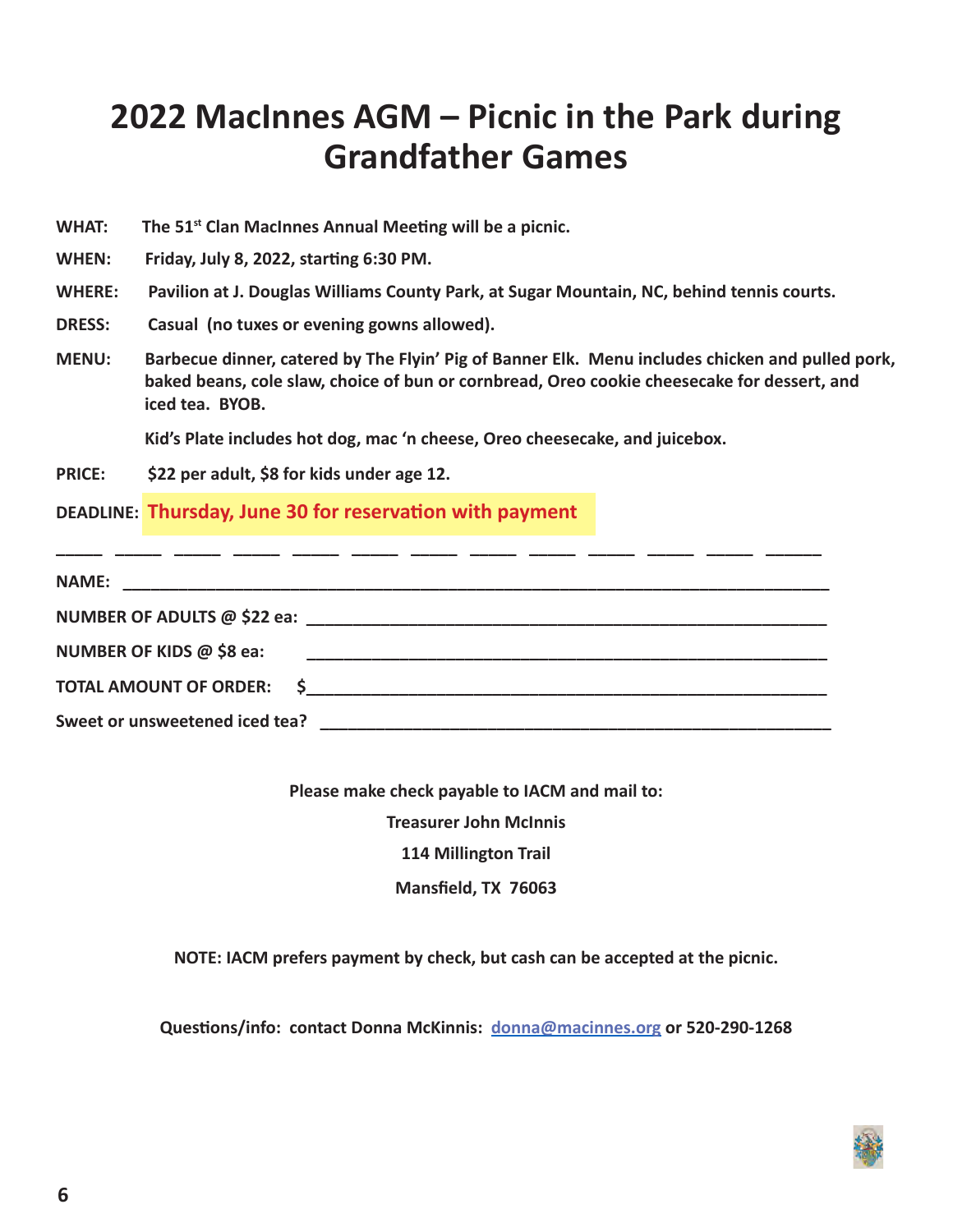## **2022 MacInnes AGM – Picnic in the Park during Grandfather Games**

**WHAT: The 51st Clan MacInnes Annual Meeting will be a picnic.**

**WHEN: Friday, July 8, 2022, starting 6:30 PM.**

- **WHERE: Pavilion at J. Douglas Williams County Park, at Sugar Mountain, NC, behind tennis courts.**
- **DRESS: Casual (no tuxes or evening gowns allowed).**
- **MENU: Barbecue dinner, catered by The Flyin' Pig of Banner Elk. Menu includes chicken and pulled pork, baked beans, cole slaw, choice of bun or cornbread, Oreo cookie cheesecake for dessert, and iced tea. BYOB.**

 **Kid's Plate includes hot dog, mac 'n cheese, Oreo cheesecake, and juicebox.**

**PRICE: \$22 per adult, \$8 for kids under age 12.**

**DEADLINE: Thursday, June 30 for reservation with payment**

| NUMBER OF KIDS @ \$8 ea:       |  |  |
|--------------------------------|--|--|
| TOTAL AMOUNT OF ORDER: \$      |  |  |
| Sweet or unsweetened iced tea? |  |  |

**Please make check payable to IACM and mail to:**

**Treasurer John McInnis**

**114 Millington Trail**

**Mansfield, TX 76063**

**NOTE: IACM prefers payment by check, but cash can be accepted at the picnic.**

**Questions/info: contact Donna McKinnis: [donna@macinnes.org](mailto:donna%40macinnes.org?subject=) or 520-290-1268**